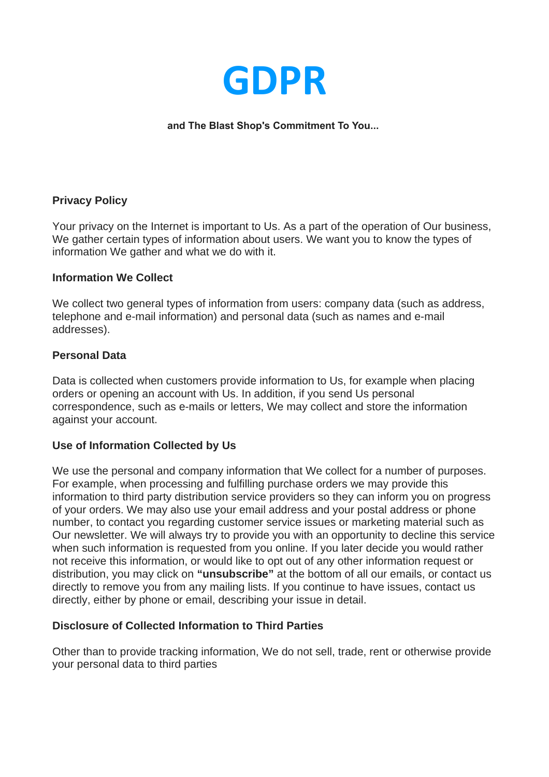

### **and The Blast Shop's Commitment To You...**

### **Privacy Policy**

Your privacy on the Internet is important to Us. As a part of the operation of Our business, We gather certain types of information about users. We want you to know the types of information We gather and what we do with it.

#### **Information We Collect**

We collect two general types of information from users: company data (such as address, telephone and e-mail information) and personal data (such as names and e-mail addresses).

### **Personal Data**

Data is collected when customers provide information to Us, for example when placing orders or opening an account with Us. In addition, if you send Us personal correspondence, such as e-mails or letters, We may collect and store the information against your account.

### **Use of Information Collected by Us**

We use the personal and company information that We collect for a number of purposes. For example, when processing and fulfilling purchase orders we may provide this information to third party distribution service providers so they can inform you on progress of your orders. We may also use your email address and your postal address or phone number, to contact you regarding customer service issues or marketing material such as Our newsletter. We will always try to provide you with an opportunity to decline this service when such information is requested from you online. If you later decide you would rather not receive this information, or would like to opt out of any other information request or distribution, you may click on **"unsubscribe"** at the bottom of all our emails, or contact us directly to remove you from any mailing lists. If you continue to have issues, contact us directly, either by phone or email, describing your issue in detail.

### **Disclosure of Collected Information to Third Parties**

Other than to provide tracking information, We do not sell, trade, rent or otherwise provide your personal data to third parties